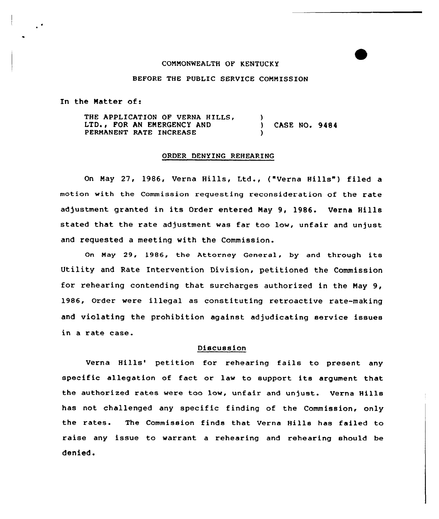## COMMONWEALTH OF KENTUCKY

## BEFORE THE PUBLIC SERVICE COMMISSION

In the Natter of:

THE APPLICATION OF VERNA HILLS, LTD., FOR AN EMERGENCY AND PERMANENT RATE INCREASE  $\left\{ \right.$ ) CASE NO. 9484 )

## ORDER DENYING REHEARING

On May 27, 1986, Verna Hills, Ltd., ("Verna Hills" ) filed a motion with the Commission requesting reconsideration of the rate adjustment granted in its Order entered May 9, 1986. Verna Hills stated that the rate adjustment was far too low, unfair and unjust and requested a meeting with the Commission.

On May 29, 1986, the Attorney General, by and through its Utility and Rate Intervention Division, petitioned the Commission for rehearing contending that surcharges authorized in the May 9, 1986, Order were illegal as constituting retroactive rate-making and violating the prohibition against adjudicating service issues in a rate case.

## Discussion

Verna Hills' petition for rehearing fails to present any specific allegation of fact or law to support its argument that the authorized rates were too low, unfair and unjust. Verna Hills has not challenged any specific finding of the Commission, only the rates. The Commission finds that Verna Hills has failed to raise any issue to warrant, a rehearing and rehearing should be denied.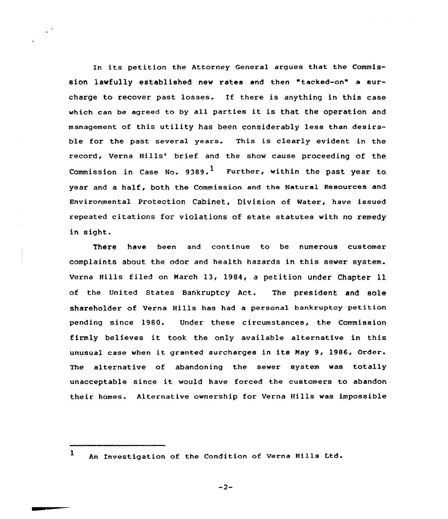In its petition the Attorney General argues that the Commission lawfully established new rates and then "tacked-on" a surcharge to recover past losses. If there is anything in this case which can be agreed to by all parties it is that the operation and management of this utility has been considerably less than desirable for the past several years. This is clearly evident in the record, Verna Hills' brief and the show cause proceeding of the Commission in Case No. 9389.<sup>1</sup> Further, within the past year to year and a half, both the Commission and the Natural Resources and Environmental Protection Cabinet, Division of Water, have issued repeated citations for violations of state statutes with no remedy in sight.

There have been and continue to be numerous customer complaints about the odor and health hazards in this sewer system. Verna Hills filed on March l3, 1984, <sup>a</sup> petition under Chapter 11 of the United States Bankruptcy Act. The president and sole shareholder of Verna Hills has had a personal bankruptcy petition pending since 1980. Under these circumstances, the Commission firmly believes it took the only available alternative in this unusual case when it granted surcharges in its May 9, 1986, Order. The alternative of abandoning the sewer system was totally unacceptable since it would have forced the customers to abandon their homes. Alternative ownership for Verna Hills was impossible

 $-2-$ 

l An Investigation of the Condition of Verna Hills Ltd.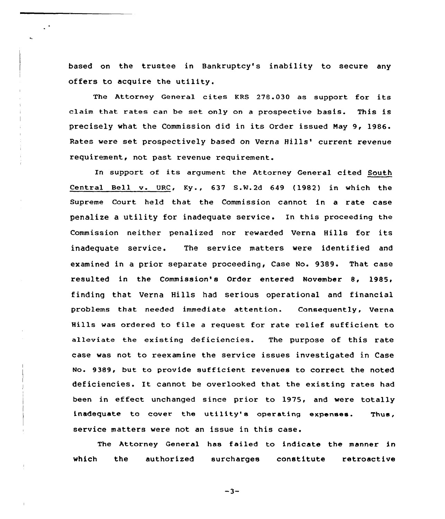based on the trustee in Bankruptcy's inability to secure any offers to acquire the utility.

The Attorney General cites KRS 278.030 as support for its claim that rates can be set only on <sup>a</sup> prospective basis. This is precisely what the Commission did in its Order issued Nay 9, 1986. Rates were set prospectively based on Verna Hills' current revenue requirement, not past revenue requirement.

In support of its argument the Attorney General cited South Central Bell v. URC, Ky., 637 S.N.2d 649 (1982) in which the Supreme Court held that the Commission cannot in a rate case penalize a utility for inadequate service. In this proceeding the Commission neither penalized nor rewarded Verna Hills for its inadequate service. The service matters were identified and examined in a prior separate proceeding, Case No. 9389. That case resulted in the Commission's Order entered November 8, 1985, finding that Verna Hills had serious operational and financial problems that needed immediate attention. Consequently, Verna Hills was ordered to file <sup>a</sup> request for rate relief sufficient to alleviate the existing deficiencies. The purpose of this rate case was not to reexamine the service issues investigated in Case No. 9389, but to provide sufficient revenues to correct the noted deficiencies. It cannot be overlooked that the existing rates had been in effect unchanged since prior to 1975, and were totally inadequate to cover the utility's operating expanses. Thus, service matters were not an issue in this case.

The Attorney General has failed to indicate the manner in which the authorized surcharges constitute retroactive

 $-3-$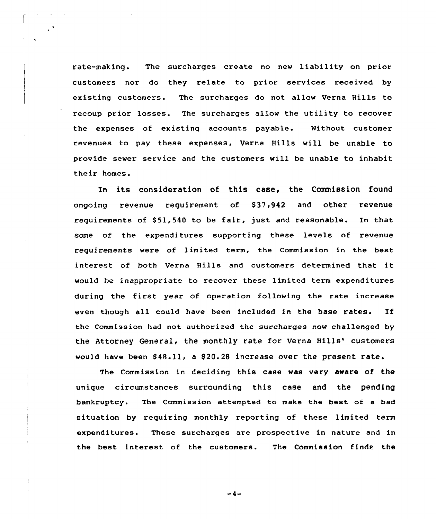rate-making. The surcharges create no new liability on prior customers nor do they relate to prior services received by existing customers. The surcharges do not allow Verna Hills to recoup prior losses. The surcharges allow the utility to recover the expenses of existinq accounts payable. Without customer revenues to pay these expenses, Verna Hills will be unable to provide sewer service and the customers will be unable to inhabit their homes.

In its consideration of this case, the Commission found ongoing revenue requirement of S37,942 and other revenue requirements of \$51,540 to be fair, just and reasonable. In that some of the expenditures supporting these levels of revenue requirements were of limited term, the Commission in the best interest of both Verna Hills and customers determined that it would be inappropriate to recover these limited term expenditures during the first year of operation following the rate increase even though all could have been included in the base rates. If the Commission had not authorized the surcharges now challenged by the Attorney General, the monthly rate for Verna Hills' customers would have been \$48.11, a \$20.28 increase over the present rate.

The Commission in deciding this case was very aware of the unique circumstances surrounding this case and the pending bankruptcy. The Commission attempted to make the best of a bad situation by requiring monthly reporting of these limited term expenditures. These surcharges are prospective in nature and in the best interest of the customers. The Commission finds the

 $-4-$